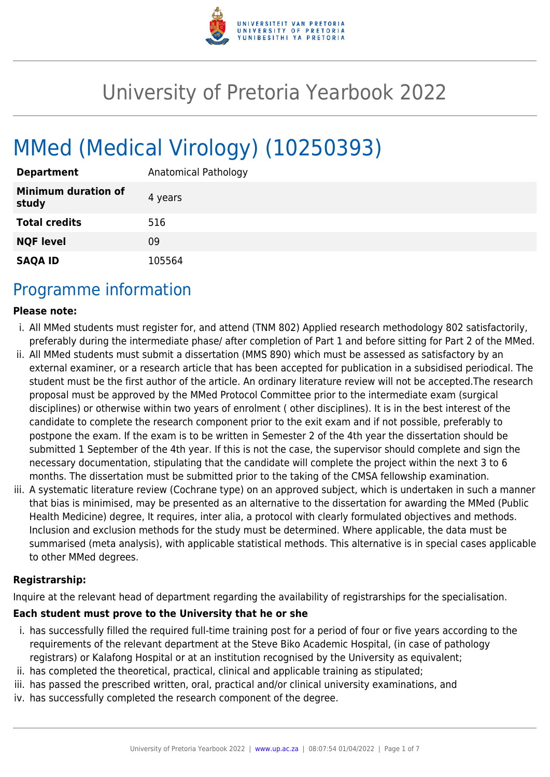

# University of Pretoria Yearbook 2022

# MMed (Medical Virology) (10250393)

| <b>Department</b>            | Anatomical Pathology |
|------------------------------|----------------------|
| Minimum duration of<br>study | 4 years              |
| <b>Total credits</b>         | 516                  |
| <b>NQF level</b>             | 09                   |
| <b>SAQA ID</b>               | 105564               |

### Programme information

#### **Please note:**

- i. All MMed students must register for, and attend (TNM 802) Applied research methodology 802 satisfactorily, preferably during the intermediate phase/ after completion of Part 1 and before sitting for Part 2 of the MMed.
- ii. All MMed students must submit a dissertation (MMS 890) which must be assessed as satisfactory by an external examiner, or a research article that has been accepted for publication in a subsidised periodical. The student must be the first author of the article. An ordinary literature review will not be accepted.The research proposal must be approved by the MMed Protocol Committee prior to the intermediate exam (surgical disciplines) or otherwise within two years of enrolment ( other disciplines). It is in the best interest of the candidate to complete the research component prior to the exit exam and if not possible, preferably to postpone the exam. If the exam is to be written in Semester 2 of the 4th year the dissertation should be submitted 1 September of the 4th year. If this is not the case, the supervisor should complete and sign the necessary documentation, stipulating that the candidate will complete the project within the next 3 to 6 months. The dissertation must be submitted prior to the taking of the CMSA fellowship examination.
- iii. A systematic literature review (Cochrane type) on an approved subject, which is undertaken in such a manner that bias is minimised, may be presented as an alternative to the dissertation for awarding the MMed (Public Health Medicine) degree, It requires, inter alia, a protocol with clearly formulated objectives and methods. Inclusion and exclusion methods for the study must be determined. Where applicable, the data must be summarised (meta analysis), with applicable statistical methods. This alternative is in special cases applicable to other MMed degrees.

#### **Registrarship:**

Inquire at the relevant head of department regarding the availability of registrarships for the specialisation.

#### **Each student must prove to the University that he or she**

- i. has successfully filled the required full-time training post for a period of four or five years according to the requirements of the relevant department at the Steve Biko Academic Hospital, (in case of pathology registrars) or Kalafong Hospital or at an institution recognised by the University as equivalent;
- ii. has completed the theoretical, practical, clinical and applicable training as stipulated;
- iii. has passed the prescribed written, oral, practical and/or clinical university examinations, and
- iv. has successfully completed the research component of the degree.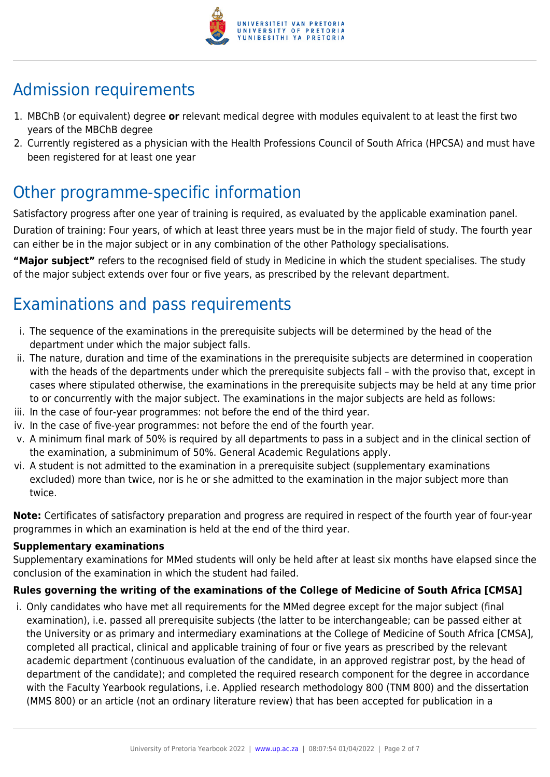

# Admission requirements

- 1. MBChB (or equivalent) degree **or** relevant medical degree with modules equivalent to at least the first two years of the MBChB degree
- 2. Currently registered as a physician with the Health Professions Council of South Africa (HPCSA) and must have been registered for at least one year

# Other programme-specific information

Satisfactory progress after one year of training is required, as evaluated by the applicable examination panel. Duration of training: Four years, of which at least three years must be in the major field of study. The fourth year can either be in the major subject or in any combination of the other Pathology specialisations.

**"Major subject"** refers to the recognised field of study in Medicine in which the student specialises. The study of the major subject extends over four or five years, as prescribed by the relevant department.

# Examinations and pass requirements

- i. The sequence of the examinations in the prerequisite subjects will be determined by the head of the department under which the major subject falls.
- ii. The nature, duration and time of the examinations in the prerequisite subjects are determined in cooperation with the heads of the departments under which the prerequisite subjects fall – with the proviso that, except in cases where stipulated otherwise, the examinations in the prerequisite subjects may be held at any time prior to or concurrently with the major subject. The examinations in the major subjects are held as follows:
- iii. In the case of four-year programmes: not before the end of the third year.
- iv. In the case of five-year programmes: not before the end of the fourth year.
- v. A minimum final mark of 50% is required by all departments to pass in a subject and in the clinical section of the examination, a subminimum of 50%. General Academic Regulations apply.
- vi. A student is not admitted to the examination in a prerequisite subject (supplementary examinations excluded) more than twice, nor is he or she admitted to the examination in the major subject more than twice.

**Note:** Certificates of satisfactory preparation and progress are required in respect of the fourth year of four-year programmes in which an examination is held at the end of the third year.

#### **Supplementary examinations**

Supplementary examinations for MMed students will only be held after at least six months have elapsed since the conclusion of the examination in which the student had failed.

### **Rules governing the writing of the examinations of the College of Medicine of South Africa [CMSA]**

i. Only candidates who have met all requirements for the MMed degree except for the major subject (final examination), i.e. passed all prerequisite subjects (the latter to be interchangeable; can be passed either at the University or as primary and intermediary examinations at the College of Medicine of South Africa [CMSA], completed all practical, clinical and applicable training of four or five years as prescribed by the relevant academic department (continuous evaluation of the candidate, in an approved registrar post, by the head of department of the candidate); and completed the required research component for the degree in accordance with the Faculty Yearbook regulations, i.e. Applied research methodology 800 (TNM 800) and the dissertation (MMS 800) or an article (not an ordinary literature review) that has been accepted for publication in a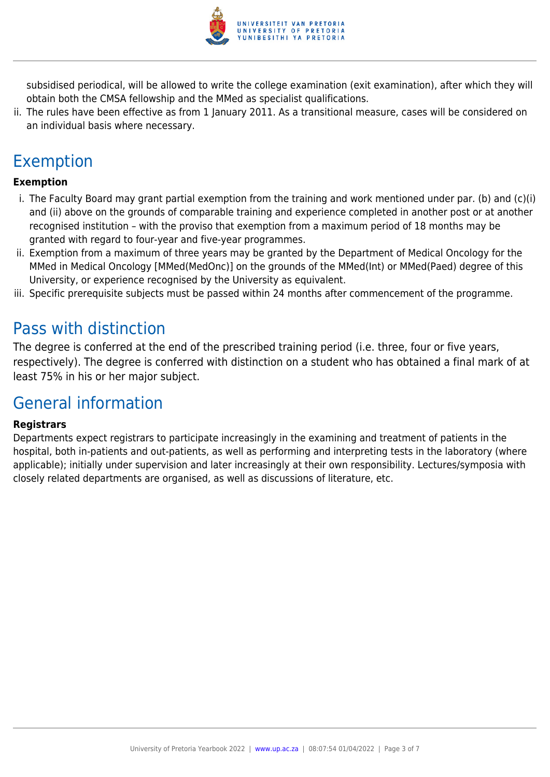

subsidised periodical, will be allowed to write the college examination (exit examination), after which they will obtain both the CMSA fellowship and the MMed as specialist qualifications.

ii. The rules have been effective as from 1 January 2011. As a transitional measure, cases will be considered on an individual basis where necessary.

# Exemption

#### **Exemption**

- i. The Faculty Board may grant partial exemption from the training and work mentioned under par. (b) and (c)(i) and (ii) above on the grounds of comparable training and experience completed in another post or at another recognised institution – with the proviso that exemption from a maximum period of 18 months may be granted with regard to four-year and five-year programmes.
- ii. Exemption from a maximum of three years may be granted by the Department of Medical Oncology for the MMed in Medical Oncology [MMed(MedOnc)] on the grounds of the MMed(Int) or MMed(Paed) degree of this University, or experience recognised by the University as equivalent.
- iii. Specific prerequisite subjects must be passed within 24 months after commencement of the programme.

### Pass with distinction

The degree is conferred at the end of the prescribed training period (i.e. three, four or five years, respectively). The degree is conferred with distinction on a student who has obtained a final mark of at least 75% in his or her major subject.

### General information

#### **Registrars**

Departments expect registrars to participate increasingly in the examining and treatment of patients in the hospital, both in-patients and out-patients, as well as performing and interpreting tests in the laboratory (where applicable); initially under supervision and later increasingly at their own responsibility. Lectures/symposia with closely related departments are organised, as well as discussions of literature, etc.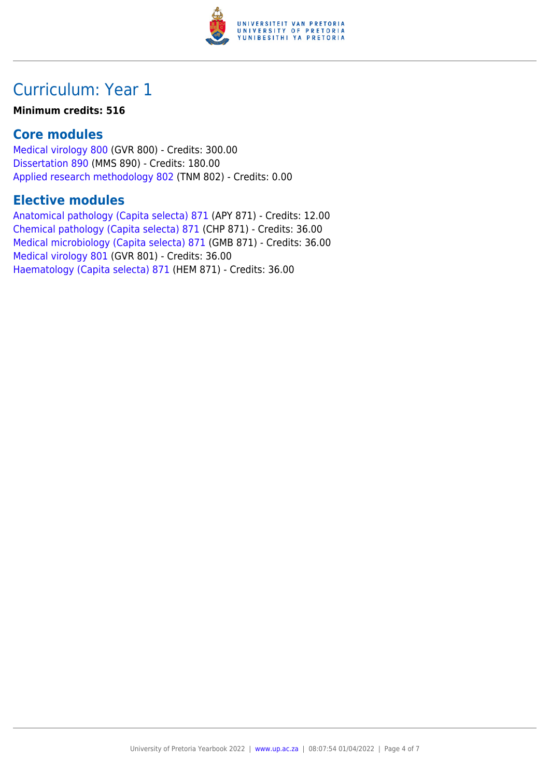

# Curriculum: Year 1

#### **Minimum credits: 516**

### **Core modules**

[Medical virology 800](https://www.up.ac.za/parents/yearbooks/2022/modules/view/GVR 800) (GVR 800) - Credits: 300.00 [Dissertation 890](https://www.up.ac.za/parents/yearbooks/2022/modules/view/MMS 890) (MMS 890) - Credits: 180.00 [Applied research methodology 802](https://www.up.ac.za/parents/yearbooks/2022/modules/view/TNM 802) (TNM 802) - Credits: 0.00

### **Elective modules**

[Anatomical pathology \(Capita selecta\) 871](https://www.up.ac.za/parents/yearbooks/2022/modules/view/APY 871) (APY 871) - Credits: 12.00 [Chemical pathology \(Capita selecta\) 871](https://www.up.ac.za/parents/yearbooks/2022/modules/view/CHP 871) (CHP 871) - Credits: 36.00 [Medical microbiology \(Capita selecta\) 871](https://www.up.ac.za/parents/yearbooks/2022/modules/view/GMB 871) (GMB 871) - Credits: 36.00 [Medical virology 801](https://www.up.ac.za/parents/yearbooks/2022/modules/view/GVR 801) (GVR 801) - Credits: 36.00 [Haematology \(Capita selecta\) 871](https://www.up.ac.za/parents/yearbooks/2022/modules/view/HEM 871) (HEM 871) - Credits: 36.00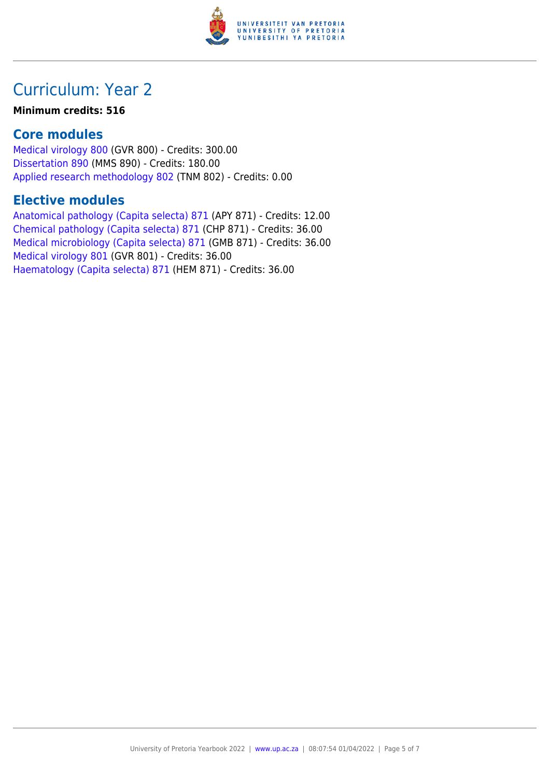

# Curriculum: Year 2

#### **Minimum credits: 516**

### **Core modules**

[Medical virology 800](https://www.up.ac.za/parents/yearbooks/2022/modules/view/GVR 800) (GVR 800) - Credits: 300.00 [Dissertation 890](https://www.up.ac.za/parents/yearbooks/2022/modules/view/MMS 890) (MMS 890) - Credits: 180.00 [Applied research methodology 802](https://www.up.ac.za/parents/yearbooks/2022/modules/view/TNM 802) (TNM 802) - Credits: 0.00

### **Elective modules**

[Anatomical pathology \(Capita selecta\) 871](https://www.up.ac.za/parents/yearbooks/2022/modules/view/APY 871) (APY 871) - Credits: 12.00 [Chemical pathology \(Capita selecta\) 871](https://www.up.ac.za/parents/yearbooks/2022/modules/view/CHP 871) (CHP 871) - Credits: 36.00 [Medical microbiology \(Capita selecta\) 871](https://www.up.ac.za/parents/yearbooks/2022/modules/view/GMB 871) (GMB 871) - Credits: 36.00 [Medical virology 801](https://www.up.ac.za/parents/yearbooks/2022/modules/view/GVR 801) (GVR 801) - Credits: 36.00 [Haematology \(Capita selecta\) 871](https://www.up.ac.za/parents/yearbooks/2022/modules/view/HEM 871) (HEM 871) - Credits: 36.00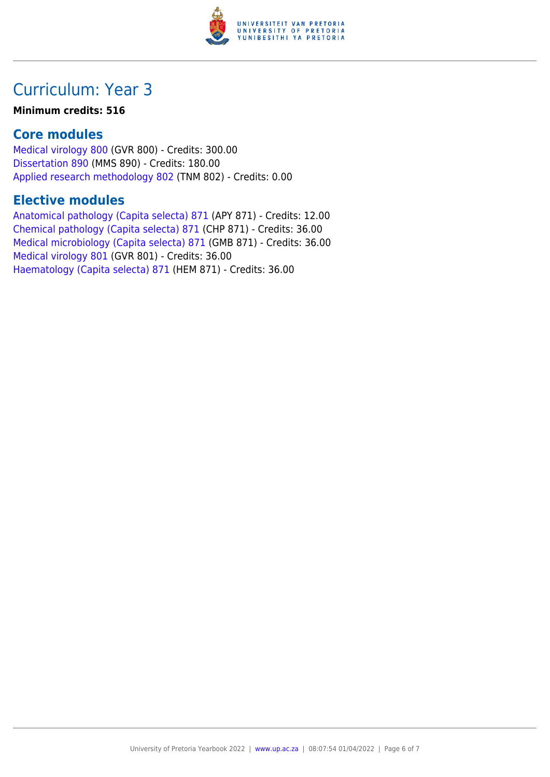

# Curriculum: Year 3

#### **Minimum credits: 516**

### **Core modules**

[Medical virology 800](https://www.up.ac.za/parents/yearbooks/2022/modules/view/GVR 800) (GVR 800) - Credits: 300.00 [Dissertation 890](https://www.up.ac.za/parents/yearbooks/2022/modules/view/MMS 890) (MMS 890) - Credits: 180.00 [Applied research methodology 802](https://www.up.ac.za/parents/yearbooks/2022/modules/view/TNM 802) (TNM 802) - Credits: 0.00

### **Elective modules**

[Anatomical pathology \(Capita selecta\) 871](https://www.up.ac.za/parents/yearbooks/2022/modules/view/APY 871) (APY 871) - Credits: 12.00 [Chemical pathology \(Capita selecta\) 871](https://www.up.ac.za/parents/yearbooks/2022/modules/view/CHP 871) (CHP 871) - Credits: 36.00 [Medical microbiology \(Capita selecta\) 871](https://www.up.ac.za/parents/yearbooks/2022/modules/view/GMB 871) (GMB 871) - Credits: 36.00 [Medical virology 801](https://www.up.ac.za/parents/yearbooks/2022/modules/view/GVR 801) (GVR 801) - Credits: 36.00 [Haematology \(Capita selecta\) 871](https://www.up.ac.za/parents/yearbooks/2022/modules/view/HEM 871) (HEM 871) - Credits: 36.00